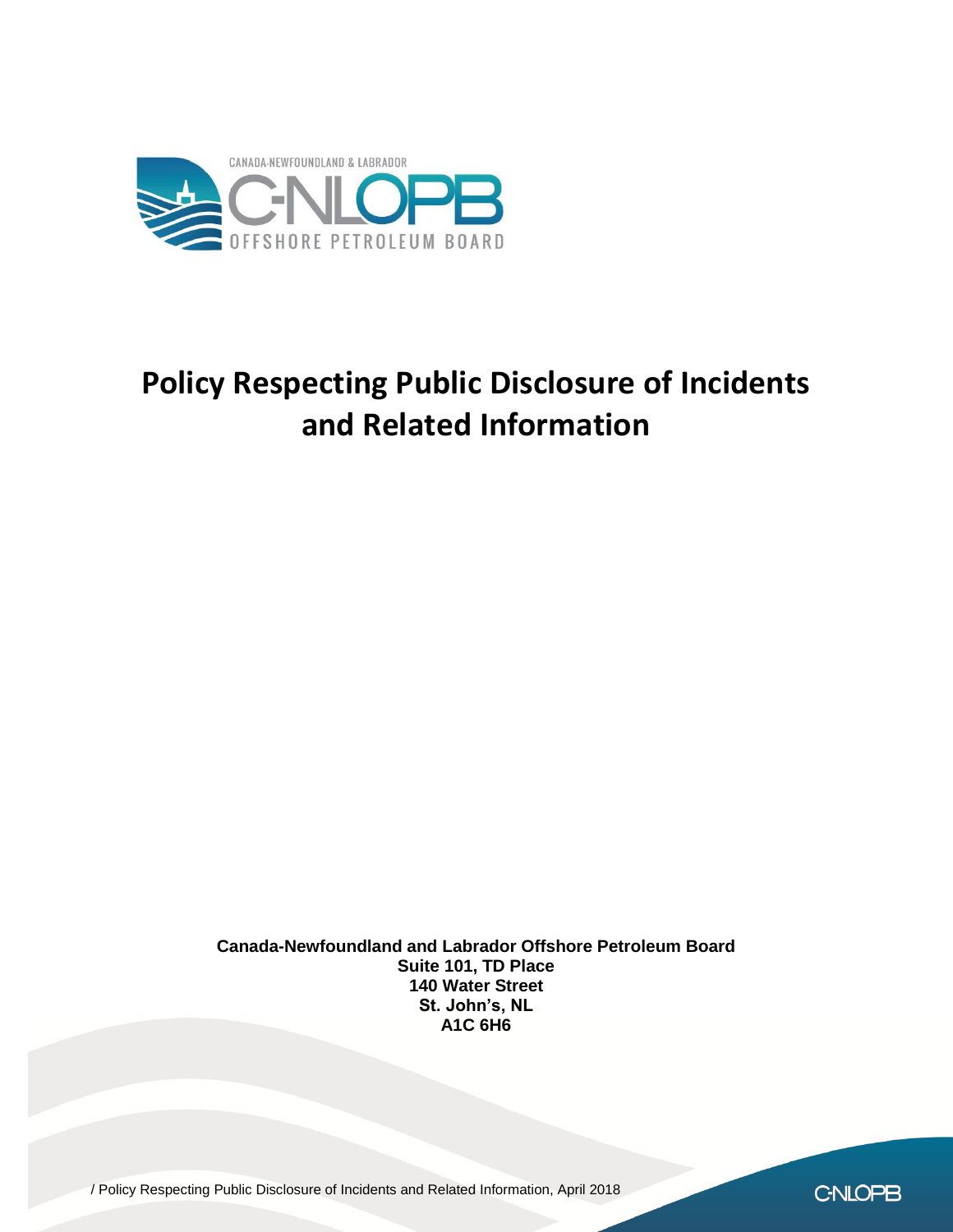

# **Policy Respecting Public Disclosure of Incidents and Related Information**

**Canada-Newfoundland and Labrador Offshore Petroleum Board Suite 101, TD Place 140 Water Street St. John's, NL A1C 6H6**

/ Policy Respecting Public Disclosure of Incidents and Related Information, April 2018

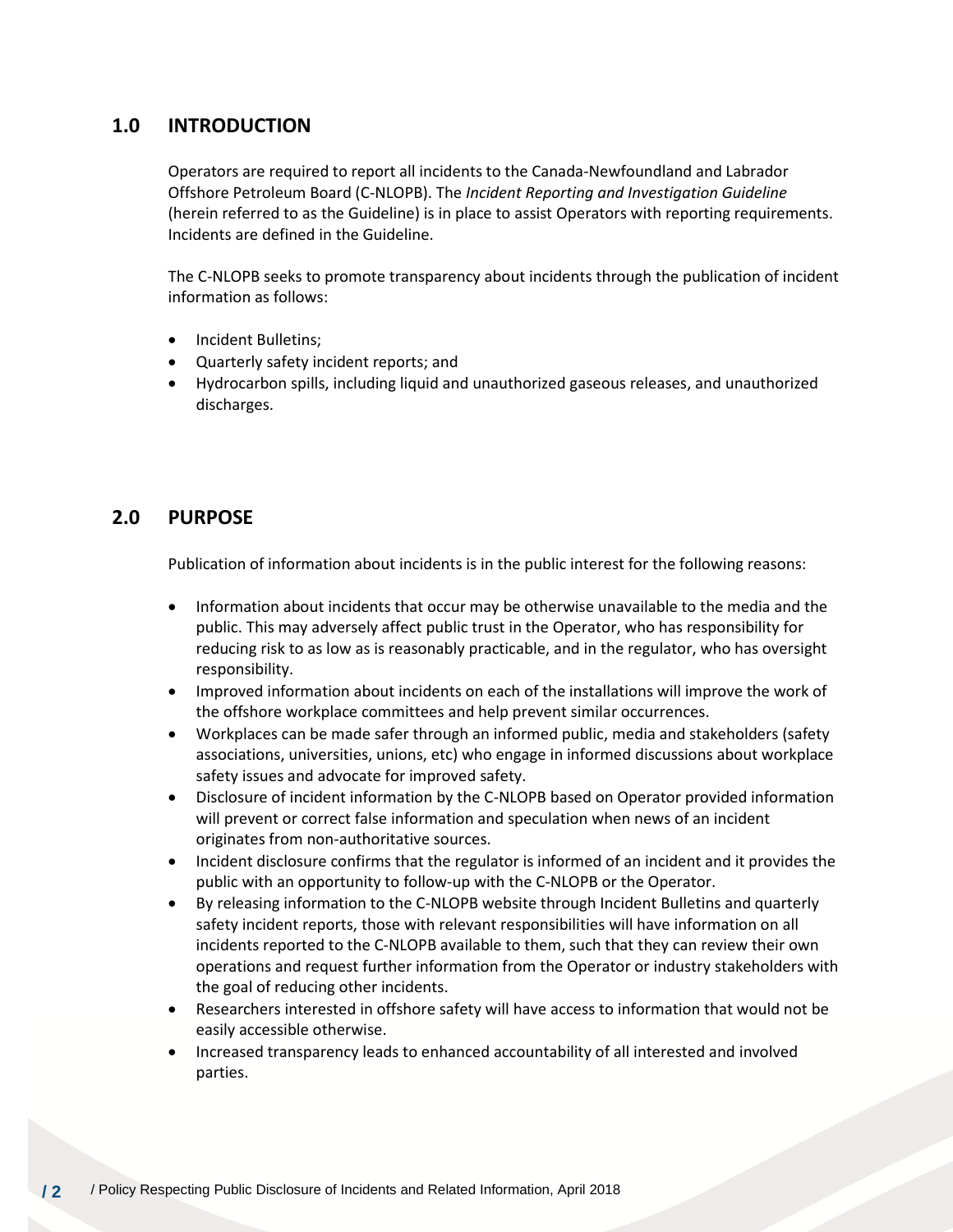# **1.0 INTRODUCTION**

Operators are required to report all incidents to the Canada-Newfoundland and Labrador Offshore Petroleum Board (C-NLOPB). The *Incident Reporting and Investigation Guideline*  (herein referred to as the Guideline) is in place to assist Operators with reporting requirements. Incidents are defined in the Guideline.

The C-NLOPB seeks to promote transparency about incidents through the publication of incident information as follows:

- Incident Bulletins;
- Quarterly safety incident reports; and
- Hydrocarbon spills, including liquid and unauthorized gaseous releases, and unauthorized discharges.

# **2.0 PURPOSE**

Publication of information about incidents is in the public interest for the following reasons:

- Information about incidents that occur may be otherwise unavailable to the media and the public. This may adversely affect public trust in the Operator, who has responsibility for reducing risk to as low as is reasonably practicable, and in the regulator, who has oversight responsibility.
- Improved information about incidents on each of the installations will improve the work of the offshore workplace committees and help prevent similar occurrences.
- Workplaces can be made safer through an informed public, media and stakeholders (safety associations, universities, unions, etc) who engage in informed discussions about workplace safety issues and advocate for improved safety.
- Disclosure of incident information by the C-NLOPB based on Operator provided information will prevent or correct false information and speculation when news of an incident originates from non-authoritative sources.
- Incident disclosure confirms that the regulator is informed of an incident and it provides the public with an opportunity to follow-up with the C-NLOPB or the Operator.
- By releasing information to the C-NLOPB website through Incident Bulletins and quarterly safety incident reports, those with relevant responsibilities will have information on all incidents reported to the C-NLOPB available to them, such that they can review their own operations and request further information from the Operator or industry stakeholders with the goal of reducing other incidents.
- Researchers interested in offshore safety will have access to information that would not be easily accessible otherwise.
- Increased transparency leads to enhanced accountability of all interested and involved parties.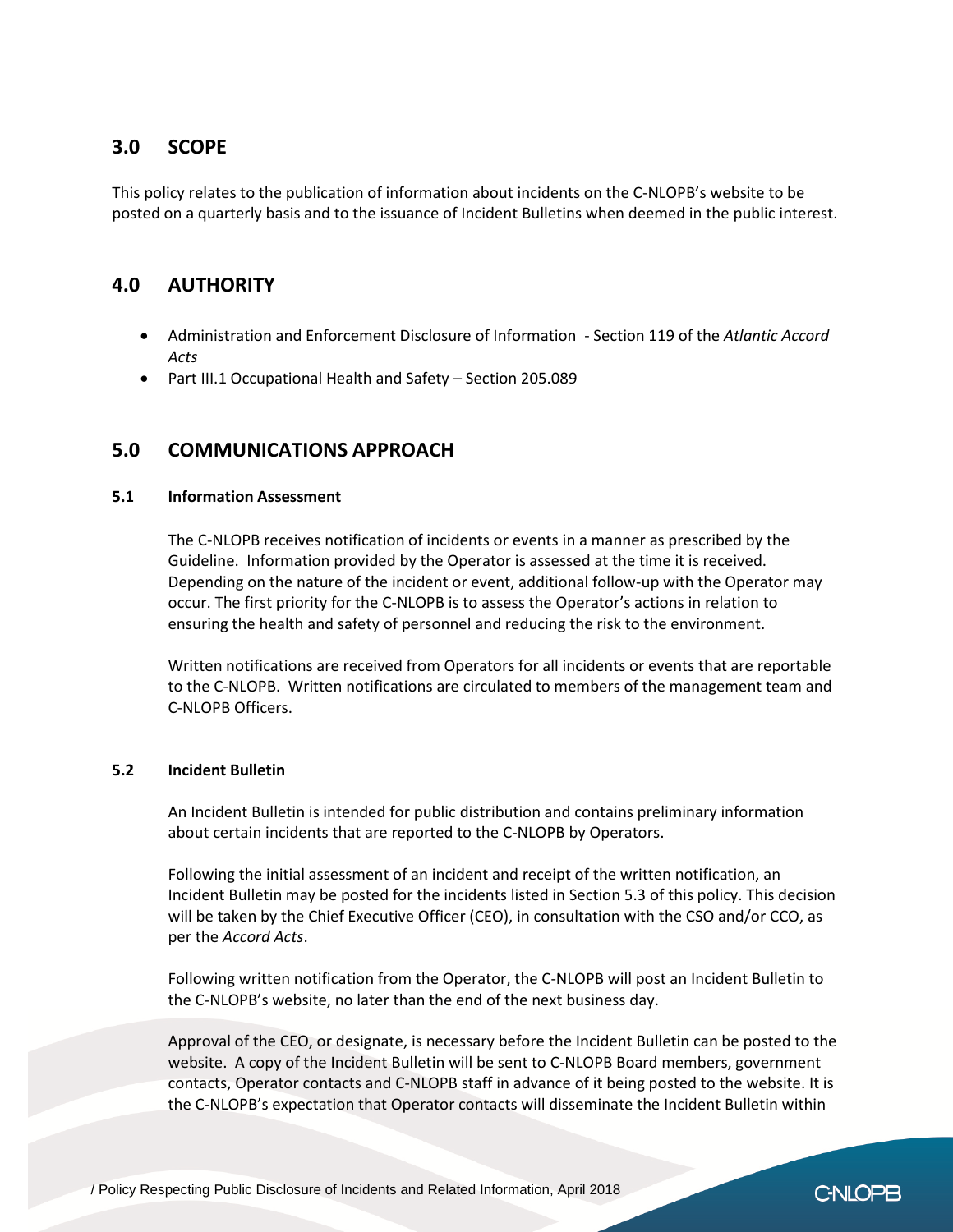# **3.0 SCOPE**

This policy relates to the publication of information about incidents on the C-NLOPB's website to be posted on a quarterly basis and to the issuance of Incident Bulletins when deemed in the public interest.

# **4.0 AUTHORITY**

- Administration and Enforcement Disclosure of Information Section 119 of the *Atlantic Accord Acts*
- Part III.1 Occupational Health and Safety Section 205.089

## **5.0 COMMUNICATIONS APPROACH**

#### **5.1 Information Assessment**

The C-NLOPB receives notification of incidents or events in a manner as prescribed by the Guideline. Information provided by the Operator is assessed at the time it is received. Depending on the nature of the incident or event, additional follow-up with the Operator may occur. The first priority for the C-NLOPB is to assess the Operator's actions in relation to ensuring the health and safety of personnel and reducing the risk to the environment.

Written notifications are received from Operators for all incidents or events that are reportable to the C-NLOPB. Written notifications are circulated to members of the management team and C-NLOPB Officers.

#### **5.2 Incident Bulletin**

An Incident Bulletin is intended for public distribution and contains preliminary information about certain incidents that are reported to the C-NLOPB by Operators.

Following the initial assessment of an incident and receipt of the written notification, an Incident Bulletin may be posted for the incidents listed in Section 5.3 of this policy. This decision will be taken by the Chief Executive Officer (CEO), in consultation with the CSO and/or CCO, as per the *Accord Acts*.

Following written notification from the Operator, the C-NLOPB will post an Incident Bulletin to the C-NLOPB's website, no later than the end of the next business day.

Approval of the CEO, or designate, is necessary before the Incident Bulletin can be posted to the website. A copy of the Incident Bulletin will be sent to C-NLOPB Board members, government contacts, Operator contacts and C-NLOPB staff in advance of it being posted to the website. It is the C-NLOPB's expectation that Operator contacts will disseminate the Incident Bulletin within

C-NLOPB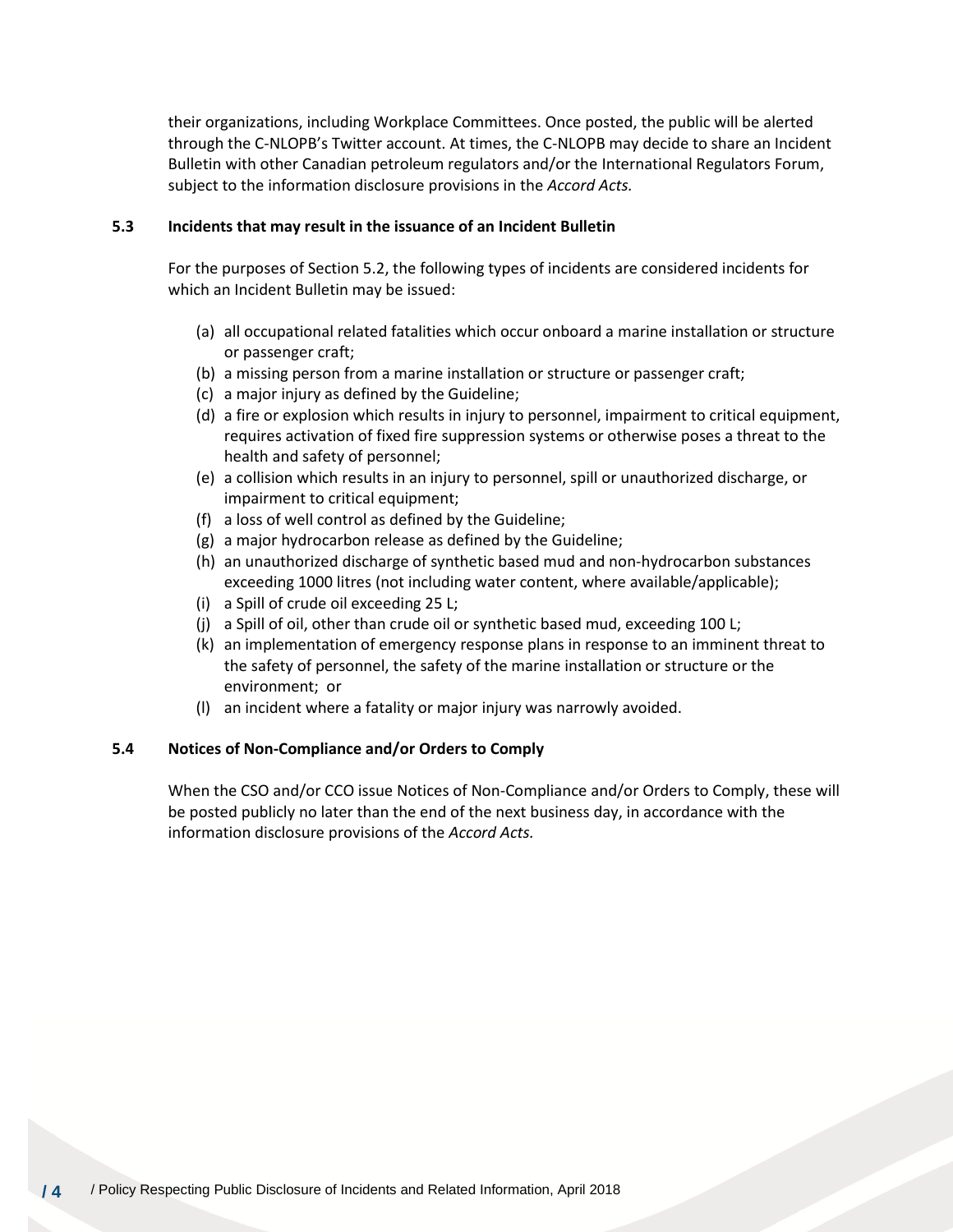their organizations, including Workplace Committees. Once posted, the public will be alerted through the C-NLOPB's Twitter account. At times, the C-NLOPB may decide to share an Incident Bulletin with other Canadian petroleum regulators and/or the International Regulators Forum, subject to the information disclosure provisions in the *Accord Acts.*

## **5.3 Incidents that may result in the issuance of an Incident Bulletin**

For the purposes of Section 5.2, the following types of incidents are considered incidents for which an Incident Bulletin may be issued:

- (a) all occupational related fatalities which occur onboard a marine installation or structure or passenger craft;
- (b) a missing person from a marine installation or structure or passenger craft;
- (c) a major injury as defined by the Guideline;
- (d) a fire or explosion which results in injury to personnel, impairment to critical equipment, requires activation of fixed fire suppression systems or otherwise poses a threat to the health and safety of personnel;
- (e) a collision which results in an injury to personnel, spill or unauthorized discharge, or impairment to critical equipment;
- (f) a loss of well control as defined by the Guideline;
- (g) a major hydrocarbon release as defined by the Guideline;
- (h) an unauthorized discharge of synthetic based mud and non-hydrocarbon substances exceeding 1000 litres (not including water content, where available/applicable);
- (i) a Spill of crude oil exceeding 25 L;
- (j) a Spill of oil, other than crude oil or synthetic based mud, exceeding 100 L;
- (k) an implementation of emergency response plans in response to an imminent threat to the safety of personnel, the safety of the marine installation or structure or the environment; or
- (l) an incident where a fatality or major injury was narrowly avoided.

#### **5.4 Notices of Non-Compliance and/or Orders to Comply**

When the CSO and/or CCO issue Notices of Non-Compliance and/or Orders to Comply, these will be posted publicly no later than the end of the next business day, in accordance with the information disclosure provisions of the *Accord Acts.*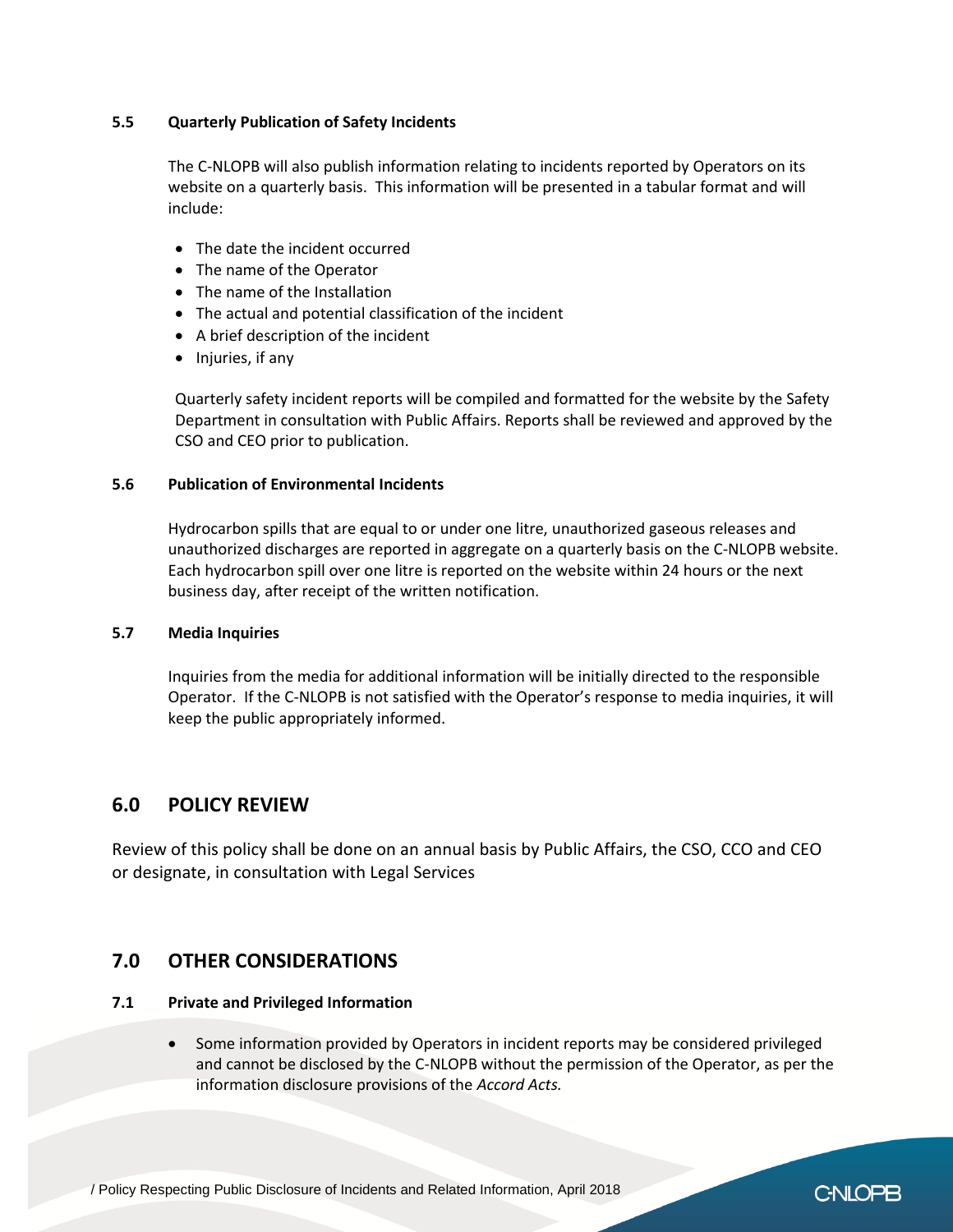## **5.5 Quarterly Publication of Safety Incidents**

The C-NLOPB will also publish information relating to incidents reported by Operators on its website on a quarterly basis. This information will be presented in a tabular format and will include:

- The date the incident occurred
- The name of the Operator
- The name of the Installation
- The actual and potential classification of the incident
- A brief description of the incident
- Injuries, if any

Quarterly safety incident reports will be compiled and formatted for the website by the Safety Department in consultation with Public Affairs. Reports shall be reviewed and approved by the CSO and CEO prior to publication.

## **5.6 Publication of Environmental Incidents**

Hydrocarbon spills that are equal to or under one litre, unauthorized gaseous releases and unauthorized discharges are reported in aggregate on a quarterly basis on the C-NLOPB website. Each hydrocarbon spill over one litre is reported on the website within 24 hours or the next business day, after receipt of the written notification.

#### **5.7 Media Inquiries**

Inquiries from the media for additional information will be initially directed to the responsible Operator. If the C-NLOPB is not satisfied with the Operator's response to media inquiries, it will keep the public appropriately informed.

## **6.0 POLICY REVIEW**

Review of this policy shall be done on an annual basis by Public Affairs, the CSO, CCO and CEO or designate, in consultation with Legal Services

## **7.0 OTHER CONSIDERATIONS**

## **7.1 Private and Privileged Information**

• Some information provided by Operators in incident reports may be considered privileged and cannot be disclosed by the C-NLOPB without the permission of the Operator, as per the information disclosure provisions of the *Accord Acts.* 

C-NLOPB

/ Policy Respecting Public Disclosure of Incidents and Related Information, April 2018